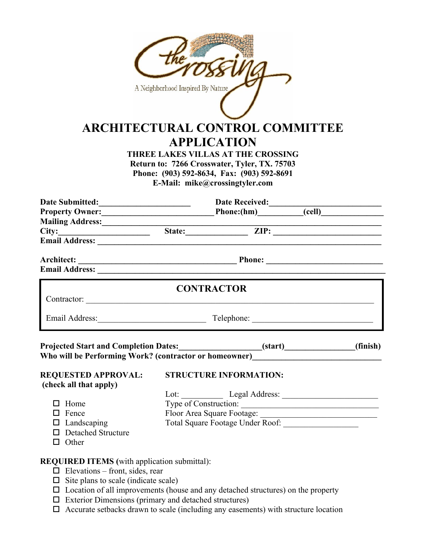|                                                                                                                                                                                                                               | A Neighborhood Inspired By Nature | <b>ARCHITECTURAL CONTROL COMMITTEE</b><br><b>APPLICATION</b><br><b>THREE LAKES VILLAS AT THE CROSSING</b><br>Return to: 7266 Crosswater, Tyler, TX. 75703<br>Phone: (903) 592-8634, Fax: (903) 592-8691<br>E-Mail: mike@crossingtyler.com |          |
|-------------------------------------------------------------------------------------------------------------------------------------------------------------------------------------------------------------------------------|-----------------------------------|-------------------------------------------------------------------------------------------------------------------------------------------------------------------------------------------------------------------------------------------|----------|
|                                                                                                                                                                                                                               |                                   |                                                                                                                                                                                                                                           |          |
|                                                                                                                                                                                                                               |                                   |                                                                                                                                                                                                                                           |          |
|                                                                                                                                                                                                                               |                                   |                                                                                                                                                                                                                                           |          |
| Mailing Address: <u>City: Example 2008</u><br>City: City: City: City: City: City: City: City: City: City: City: City: City: City: City: City: City: City: City                                                                |                                   |                                                                                                                                                                                                                                           |          |
| Email Address: National Address: National Address: National Address: National Address: National Address: National Address: National Address: National Address: National Address: National Address: National Address: National |                                   |                                                                                                                                                                                                                                           |          |
|                                                                                                                                                                                                                               |                                   |                                                                                                                                                                                                                                           |          |
|                                                                                                                                                                                                                               |                                   | <b>CONTRACTOR</b>                                                                                                                                                                                                                         |          |
| Email Address: Telephone: Telephone: Telephone: 2008.                                                                                                                                                                         |                                   |                                                                                                                                                                                                                                           |          |
| Projected Start and Completion Dates:________________________(start)____________<br>Who will be Performing Work? (contractor or homeowner)__________________________                                                          |                                   |                                                                                                                                                                                                                                           | (finish) |
| <b>REQUESTED APPROVAL:</b>                                                                                                                                                                                                    |                                   | <b>STRUCTURE INFORMATION:</b>                                                                                                                                                                                                             |          |
| (check all that apply)                                                                                                                                                                                                        |                                   |                                                                                                                                                                                                                                           |          |
|                                                                                                                                                                                                                               |                                   |                                                                                                                                                                                                                                           |          |
| $\Box$ Home                                                                                                                                                                                                                   |                                   | Type of Construction:                                                                                                                                                                                                                     |          |
| $\Box$ Fence                                                                                                                                                                                                                  |                                   |                                                                                                                                                                                                                                           |          |
| $\Box$ Landscaping                                                                                                                                                                                                            |                                   |                                                                                                                                                                                                                                           |          |
| □ Detached Structure                                                                                                                                                                                                          |                                   |                                                                                                                                                                                                                                           |          |
| $\Box$ Other                                                                                                                                                                                                                  |                                   |                                                                                                                                                                                                                                           |          |
| <b>REQUIRED ITEMS</b> (with application submittal):                                                                                                                                                                           |                                   |                                                                                                                                                                                                                                           |          |
| $\Box$ Elevations – front, sides, rear                                                                                                                                                                                        |                                   |                                                                                                                                                                                                                                           |          |
| $\Box$ Site plans to scale (indicate scale)                                                                                                                                                                                   |                                   |                                                                                                                                                                                                                                           |          |

- 
- $\Box$  Location of all improvements (house and any detached structures) on the property
- $\Box$  Exterior Dimensions (primary and detached structures)
- $\Box$  Accurate setbacks drawn to scale (including any easements) with structure location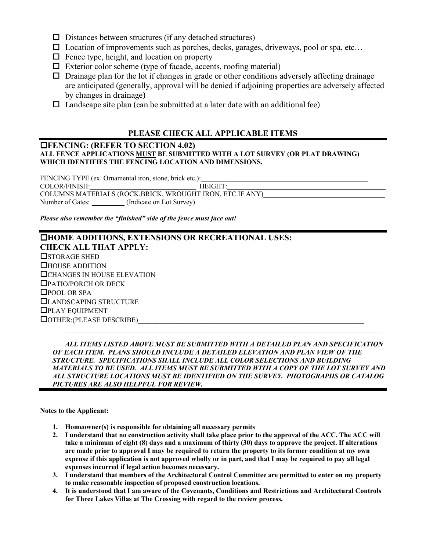- $\square$  Distances between structures (if any detached structures)
- $\square$  Location of improvements such as porches, decks, garages, driveways, pool or spa, etc...
- $\Box$  Fence type, height, and location on property
- $\Box$  Exterior color scheme (type of facade, accents, roofing material)
- $\Box$  Drainage plan for the lot if changes in grade or other conditions adversely affecting drainage are anticipated (generally, approval will be denied if adjoining properties are adversely affected by changes in drainage)
- $\Box$  Landscape site plan (can be submitted at a later date with an additional fee)

## **PLEASE CHECK ALL APPLICABLE ITEMS**

#### **FENCING: (REFER TO SECTION 4.02) ALL FENCE APPLICATIONS MUST BE SUBMITTED WITH A LOT SURVEY (OR PLAT DRAWING) WHICH IDENTIFIES THE FENCING LOCATION AND DIMENSIONS.**

FENCING TYPE (ex. Ornamental iron, stone, brick etc.): COLOR/FINISH: HEIGHT: COLUMNS MATERIALS (ROCK,BRICK, WROUGHT IRON, ETC.IF ANY) Number of Gates: \_\_\_\_\_\_\_\_\_ (Indicate on Lot Survey)

*Please also remember the "finished" side of the fence must face out!* 

## **HOME ADDITIONS, EXTENSIONS OR RECREATIONAL USES: CHECK ALL THAT APPLY: OSTORAGE SHED** HOUSE ADDITION **CHANGES IN HOUSE ELEVATION** PATIO/PORCH OR DECK □POOL OR SPA LANDSCAPING STRUCTURE PLAY EQUIPMENT  $\Box$  OTHER: (PLEASE DESCRIBE)

 *ALL ITEMS LISTED ABOVE MUST BE SUBMITTED WITH A DETAILED PLAN AND SPECIFICATION OF EACH ITEM. PLANS SHOULD INCLUDE A DETAILED ELEVATION AND PLAN VIEW OF THE STRUCTURE. SPECIFICATIONS SHALL INCLUDE ALL COLOR SELECTIONS AND BUILDING MATERIALS TO BE USED. ALL ITEMS MUST BE SUBMITTED WITH A COPY OF THE LOT SURVEY AND ALL STRUCTURE LOCATIONS MUST BE IDENTIFIED ON THE SURVEY. PHOTOGRAPHS OR CATALOG PICTURES ARE ALSO HELPFUL FOR REVIEW.* 

**Notes to the Applicant:** 

- **1. Homeowner(s) is responsible for obtaining all necessary permits**
- **2. I understand that no construction activity shall take place prior to the approval of the ACC. The ACC will take a minimum of eight (8) days and a maximum of thirty (30) days to approve the project. If alterations are made prior to approval I may be required to return the property to its former condition at my own expense if this application is not approved wholly or in part, and that I may be required to pay all legal expenses incurred if legal action becomes necessary.**
- **3. I understand that members of the Architectural Control Committee are permitted to enter on my property to make reasonable inspection of proposed construction locations.**
- **4. It is understood that I am aware of the Covenants, Conditions and Restrictions and Architectural Controls for Three Lakes Villas at The Crossing with regard to the review process.**